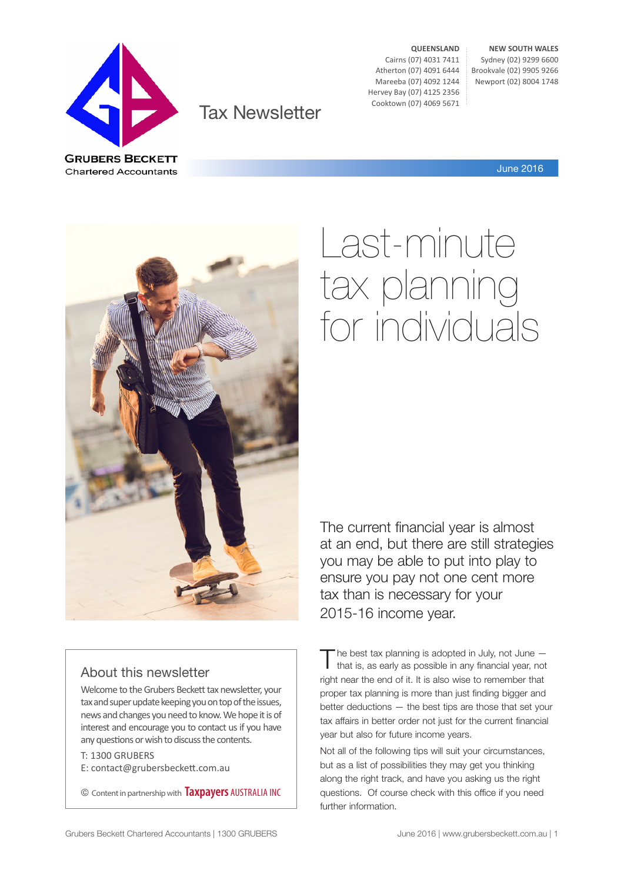

Tax Newsletter

**QUEENSLAND** Cairns (07) 4031 7411 Atherton (07) 4091 6444 Mareeba (07) 4092 1244 Hervey Bay (07) 4125 2356 Cooktown (07) 4069 5671

**NEW SOUTH WALES** Sydney (02) 9299 6600 Brookvale (02) 9905 9266 Newport (02) 8004 1748

June 2016



# Last-minute tax planning for individuals

The current financial year is almost at an end, but there are still strategies you may be able to put into play to ensure you pay not one cent more tax than is necessary for your 2015-16 income year.

#### About this newsletter

Welcome to the Grubers Beckett tax newsletter, your tax and super update keeping you on top of the issues, news and changes you need to know. We hope it is of interest and encourage you to contact us if you have any questions or wish to discuss the contents.

T: 1300 GRUBERS E: contact@grubersbeckett.com.au

© Content in partnership with **Taxpayers** AUSTRALIA INC

The best tax planning is adopted in July, not June –<br>that is, as early as possible in any financial year, not right near the end of it. It is also wise to remember that proper tax planning is more than just finding bigger and better deductions — the best tips are those that set your tax affairs in better order not just for the current financial year but also for future income years.

Not all of the following tips will suit your circumstances, but as a list of possibilities they may get you thinking along the right track, and have you asking us the right questions. Of course check with this office if you need further information.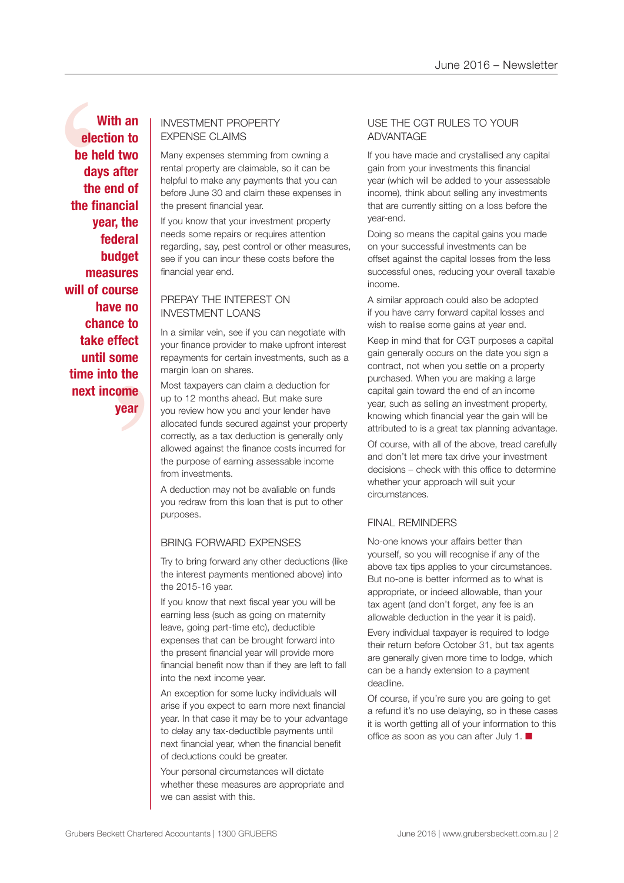e to<br>fect<br>ome<br>the<br>ome<br>year With an EXPENSE CLAIMS<br>
be held two<br>
days after<br>
the end of<br>
the financial<br>
year, the<br>
federal<br>
budget<br>
budget<br>
budget are if you can incur these cos **With an election to be held two days after the end of the financial year, the federal budget measures will of course have no chance to take effect until some time into the next income year**

# EXPENSE CLAIMS

Many expenses stemming from owning a rental property are claimable, so it can be helpful to make any payments that you can before June 30 and claim these expenses in the present financial year.

If you know that your investment property needs some repairs or requires attention regarding, say, pest control or other measures, see if you can incur these costs before the financial year end.

#### PREPAY THE INTEREST ON INVESTMENT LOANS

In a similar vein, see if you can negotiate with your finance provider to make upfront interest repayments for certain investments, such as a margin loan on shares.

Most taxpayers can claim a deduction for up to 12 months ahead. But make sure you review how you and your lender have allocated funds secured against your property correctly, as a tax deduction is generally only allowed against the finance costs incurred for the purpose of earning assessable income from investments.

A deduction may not be avaliable on funds you redraw from this loan that is put to other purposes.

#### BRING FORWARD EXPENSES

Try to bring forward any other deductions (like the interest payments mentioned above) into the 2015-16 year.

If you know that next fiscal year you will be earning less (such as going on maternity leave, going part-time etc), deductible expenses that can be brought forward into the present financial year will provide more financial benefit now than if they are left to fall into the next income year.

An exception for some lucky individuals will arise if you expect to earn more next financial year. In that case it may be to your advantage to delay any tax-deductible payments until next financial year, when the financial benefit of deductions could be greater.

Your personal circumstances will dictate whether these measures are appropriate and we can assist with this.

#### USE THE CGT RULES TO YOUR ADVANTAGE

If you have made and crystallised any capital gain from your investments this financial year (which will be added to your assessable income), think about selling any investments that are currently sitting on a loss before the year-end.

Doing so means the capital gains you made on your successful investments can be offset against the capital losses from the less successful ones, reducing your overall taxable income.

A similar approach could also be adopted if you have carry forward capital losses and wish to realise some gains at year end.

Keep in mind that for CGT purposes a capital gain generally occurs on the date you sign a contract, not when you settle on a property purchased. When you are making a large capital gain toward the end of an income year, such as selling an investment property, knowing which financial year the gain will be attributed to is a great tax planning advantage.

Of course, with all of the above, tread carefully and don't let mere tax drive your investment decisions – check with this office to determine whether your approach will suit your circumstances.

#### FINAL REMINDERS

No-one knows your affairs better than yourself, so you will recognise if any of the above tax tips applies to your circumstances. But no-one is better informed as to what is appropriate, or indeed allowable, than your tax agent (and don't forget, any fee is an allowable deduction in the year it is paid).

Every individual taxpayer is required to lodge their return before October 31, but tax agents are generally given more time to lodge, which can be a handy extension to a payment deadline.

Of course, if you're sure you are going to get a refund it's no use delaying, so in these cases it is worth getting all of your information to this office as soon as you can after July 1.  $\blacksquare$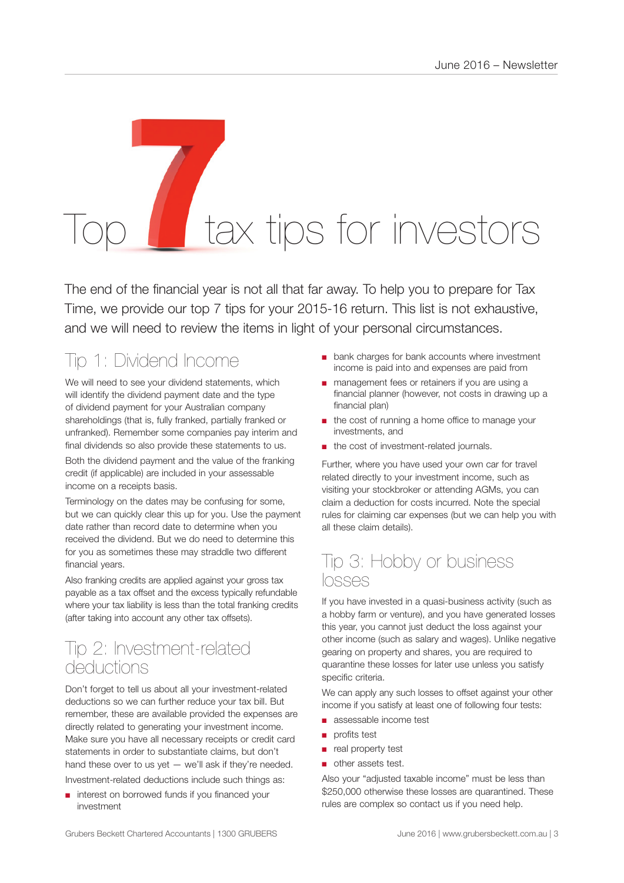# tax tips for investors

The end of the financial year is not all that far away. To help you to prepare for Tax Time, we provide our top 7 tips for your 2015-16 return. This list is not exhaustive, and we will need to review the items in light of your personal circumstances.

# Tip 1: Dividend Income

We will need to see your dividend statements, which will identify the dividend payment date and the type of dividend payment for your Australian company shareholdings (that is, fully franked, partially franked or unfranked). Remember some companies pay interim and final dividends so also provide these statements to us. Both the dividend payment and the value of the franking

credit (if applicable) are included in your assessable income on a receipts basis.

Terminology on the dates may be confusing for some, but we can quickly clear this up for you. Use the payment date rather than record date to determine when you received the dividend. But we do need to determine this for you as sometimes these may straddle two different financial years.

Also franking credits are applied against your gross tax payable as a tax offset and the excess typically refundable where your tax liability is less than the total franking credits (after taking into account any other tax offsets).

## Tip 2: Investment-related deductions

Don't forget to tell us about all your investment-related deductions so we can further reduce your tax bill. But remember, these are available provided the expenses are directly related to generating your investment income. Make sure you have all necessary receipts or credit card statements in order to substantiate claims, but don't hand these over to us yet  $-$  we'll ask if they're needed. Investment-related deductions include such things as:

interest on borrowed funds if you financed your investment

- bank charges for bank accounts where investment income is paid into and expenses are paid from
- management fees or retainers if you are using a financial planner (however, not costs in drawing up a financial plan)
- the cost of running a home office to manage your investments, and
- the cost of investment-related journals.

Further, where you have used your own car for travel related directly to your investment income, such as visiting your stockbroker or attending AGMs, you can claim a deduction for costs incurred. Note the special rules for claiming car expenses (but we can help you with all these claim details).

### Tip 3: Hobby or business losses

If you have invested in a quasi-business activity (such as a hobby farm or venture), and you have generated losses this year, you cannot just deduct the loss against your other income (such as salary and wages). Unlike negative gearing on property and shares, you are required to quarantine these losses for later use unless you satisfy specific criteria.

We can apply any such losses to offset against your other income if you satisfy at least one of following four tests:

- assessable income test
- profits test
- real property test
- other assets test.

Also your "adjusted taxable income" must be less than \$250,000 otherwise these losses are quarantined. These rules are complex so contact us if you need help.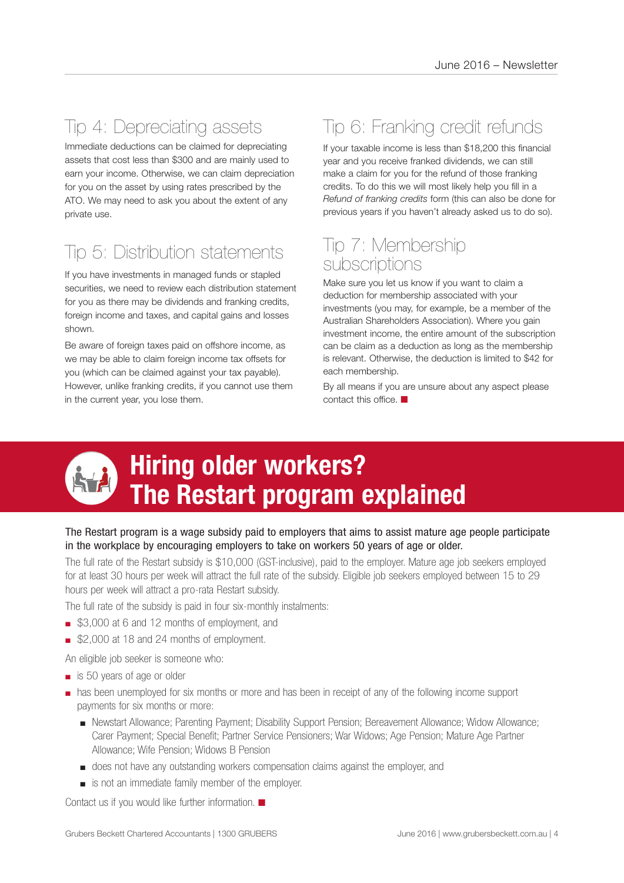## Tip 4: Depreciating assets

Immediate deductions can be claimed for depreciating assets that cost less than \$300 and are mainly used to earn your income. Otherwise, we can claim depreciation for you on the asset by using rates prescribed by the ATO. We may need to ask you about the extent of any private use.

# Tip 5: Distribution statements

If you have investments in managed funds or stapled securities, we need to review each distribution statement for you as there may be dividends and franking credits, foreign income and taxes, and capital gains and losses shown.

Be aware of foreign taxes paid on offshore income, as we may be able to claim foreign income tax offsets for you (which can be claimed against your tax payable). However, unlike franking credits, if you cannot use them in the current year, you lose them.

# Tip 6: Franking credit refunds

If your taxable income is less than \$18,200 this financial year and you receive franked dividends, we can still make a claim for you for the refund of those franking credits. To do this we will most likely help you fill in a *Refund of franking credits* form (this can also be done for previous years if you haven't already asked us to do so).

## Tip 7: Membership subscriptions

Make sure you let us know if you want to claim a deduction for membership associated with your investments (you may, for example, be a member of the Australian Shareholders Association). Where you gain investment income, the entire amount of the subscription can be claim as a deduction as long as the membership is relevant. Otherwise, the deduction is limited to \$42 for each membership.

By all means if you are unsure about any aspect please contact this office.  $\blacksquare$ 



# **Hiring older workers? The Restart program explained**

#### The Restart program is a wage subsidy paid to employers that aims to assist mature age people participate in the workplace by encouraging employers to take on workers 50 years of age or older.

The full rate of the Restart subsidy is \$10,000 (GST-inclusive), paid to the employer. Mature age job seekers employed for at least 30 hours per week will attract the full rate of the subsidy. Eligible job seekers employed between 15 to 29 hours per week will attract a pro-rata Restart subsidy.

The full rate of the subsidy is paid in four six-monthly instalments:

- \$3,000 at 6 and 12 months of employment, and
- \$2,000 at 18 and 24 months of employment.
- An eligible job seeker is someone who:
- is 50 years of age or older
- has been unemployed for six months or more and has been in receipt of any of the following income support payments for six months or more:
	- Newstart Allowance; Parenting Payment; Disability Support Pension; Bereavement Allowance; Widow Allowance; Carer Payment; Special Benefit; Partner Service Pensioners; War Widows; Age Pension; Mature Age Partner Allowance; Wife Pension; Widows B Pension
	- does not have any outstanding workers compensation claims against the employer, and
	- is not an immediate family member of the employer.

Contact us if you would like further information.  $\blacksquare$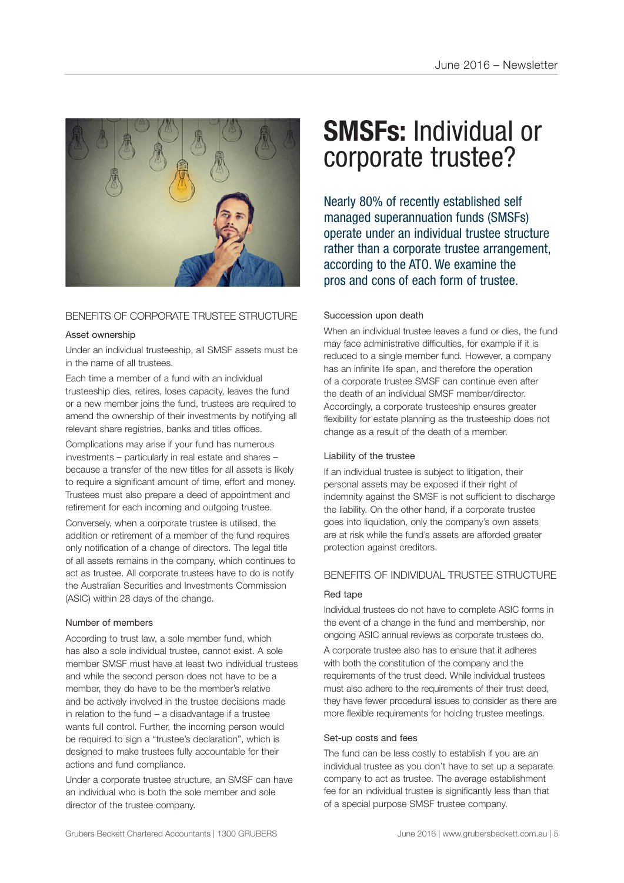

#### BENEFITS OF CORPORATE TRUSTEE STRUCTURE

#### Asset ownership

Under an individual trusteeship, all SMSF assets must be in the name of all trustees.

Each time a member of a fund with an individual trusteeship dies, retires, loses capacity, leaves the fund or a new member joins the fund, trustees are required to amend the ownership of their investments by notifying all relevant share registries, banks and titles offices.

Complications may arise if your fund has numerous investments – particularly in real estate and shares – because a transfer of the new titles for all assets is likely to require a significant amount of time, effort and money. Trustees must also prepare a deed of appointment and retirement for each incoming and outgoing trustee.

Conversely, when a corporate trustee is utilised, the addition or retirement of a member of the fund requires only notification of a change of directors. The legal title of all assets remains in the company, which continues to act as trustee. All corporate trustees have to do is notify the Australian Securities and Investments Commission (ASIC) within 28 days of the change.

#### Number of members

According to trust law, a sole member fund, which has also a sole individual trustee, cannot exist. A sole member SMSF must have at least two individual trustees and while the second person does not have to be a member, they do have to be the member's relative and be actively involved in the trustee decisions made in relation to the fund  $-$  a disadvantage if a trustee wants full control. Further, the incoming person would be required to sign a "trustee's declaration", which is designed to make trustees fully accountable for their actions and fund compliance.

Under a corporate trustee structure, an SMSF can have an individual who is both the sole member and sole director of the trustee company.

# **SMSFs:** Individual or corporate trustee?

Nearly 80% of recently established self managed superannuation funds (SMSFs) operate under an individual trustee structure rather than a corporate trustee arrangement, according to the ATO. We examine the pros and cons of each form of trustee.

#### Succession upon death

When an individual trustee leaves a fund or dies, the fund may face administrative difficulties, for example if it is reduced to a single member fund. However, a company has an infinite life span, and therefore the operation of a corporate trustee SMSF can continue even after the death of an individual SMSF member/director. Accordingly, a corporate trusteeship ensures greater flexibility for estate planning as the trusteeship does not change as a result of the death of a member.

#### Liability of the trustee

If an individual trustee is subject to litigation, their personal assets may be exposed if their right of indemnity against the SMSF is not sufficient to discharge the liability. On the other hand, if a corporate trustee goes into liquidation, only the company's own assets are at risk while the fund's assets are afforded greater protection against creditors.

#### BENEFITS OF INDIVIDUAL TRUSTEE STRUCTURE

#### Red tape

Individual trustees do not have to complete ASIC forms in the event of a change in the fund and membership, nor ongoing ASIC annual reviews as corporate trustees do.

A corporate trustee also has to ensure that it adheres with both the constitution of the company and the requirements of the trust deed. While individual trustees must also adhere to the requirements of their trust deed, they have fewer procedural issues to consider as there are more flexible requirements for holding trustee meetings.

#### Set-up costs and fees

The fund can be less costly to establish if you are an individual trustee as you don't have to set up a separate company to act as trustee. The average establishment fee for an individual trustee is significantly less than that of a special purpose SMSF trustee company.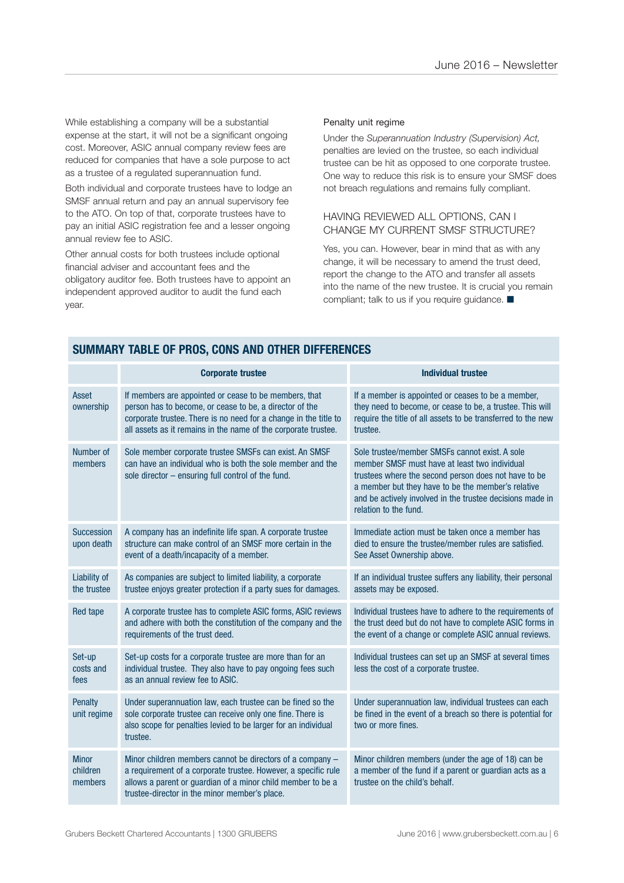While establishing a company will be a substantial expense at the start, it will not be a significant ongoing cost. Moreover, ASIC annual company review fees are reduced for companies that have a sole purpose to act as a trustee of a regulated superannuation fund.

Both individual and corporate trustees have to lodge an SMSF annual return and pay an annual supervisory fee to the ATO. On top of that, corporate trustees have to pay an initial ASIC registration fee and a lesser ongoing annual review fee to ASIC.

Other annual costs for both trustees include optional financial adviser and accountant fees and the obligatory auditor fee. Both trustees have to appoint an independent approved auditor to audit the fund each year.

#### Penalty unit regime

Under the *Superannuation Industry (Supervision) Act,* penalties are levied on the trustee, so each individual trustee can be hit as opposed to one corporate trustee. One way to reduce this risk is to ensure your SMSF does not breach regulations and remains fully compliant.

#### HAVING REVIEWED ALL OPTIONS, CAN I CHANGE MY CURRENT SMSF STRUCTURE?

Yes, you can. However, bear in mind that as with any change, it will be necessary to amend the trust deed, report the change to the ATO and transfer all assets into the name of the new trustee. It is crucial you remain compliant; talk to us if you require guidance.  $\blacksquare$ 

|                                     | <b>Corporate trustee</b>                                                                                                                                                                                                                               | <b>Individual trustee</b>                                                                                                                                                                                                                                                                           |
|-------------------------------------|--------------------------------------------------------------------------------------------------------------------------------------------------------------------------------------------------------------------------------------------------------|-----------------------------------------------------------------------------------------------------------------------------------------------------------------------------------------------------------------------------------------------------------------------------------------------------|
| Asset<br>ownership                  | If members are appointed or cease to be members, that<br>person has to become, or cease to be, a director of the<br>corporate trustee. There is no need for a change in the title to<br>all assets as it remains in the name of the corporate trustee. | If a member is appointed or ceases to be a member,<br>they need to become, or cease to be, a trustee. This will<br>require the title of all assets to be transferred to the new<br>trustee.                                                                                                         |
| Number of<br>members                | Sole member corporate trustee SMSFs can exist. An SMSF<br>can have an individual who is both the sole member and the<br>sole director - ensuring full control of the fund.                                                                             | Sole trustee/member SMSFs cannot exist. A sole<br>member SMSF must have at least two individual<br>trustees where the second person does not have to be<br>a member but they have to be the member's relative<br>and be actively involved in the trustee decisions made in<br>relation to the fund. |
| <b>Succession</b><br>upon death     | A company has an indefinite life span. A corporate trustee<br>structure can make control of an SMSF more certain in the<br>event of a death/incapacity of a member.                                                                                    | Immediate action must be taken once a member has<br>died to ensure the trustee/member rules are satisfied.<br>See Asset Ownership above.                                                                                                                                                            |
| Liability of<br>the trustee         | As companies are subject to limited liability, a corporate<br>trustee enjoys greater protection if a party sues for damages.                                                                                                                           | If an individual trustee suffers any liability, their personal<br>assets may be exposed.                                                                                                                                                                                                            |
| <b>Red tape</b>                     | A corporate trustee has to complete ASIC forms, ASIC reviews<br>and adhere with both the constitution of the company and the<br>requirements of the trust deed.                                                                                        | Individual trustees have to adhere to the requirements of<br>the trust deed but do not have to complete ASIC forms in<br>the event of a change or complete ASIC annual reviews.                                                                                                                     |
| Set-up<br>costs and<br>fees         | Set-up costs for a corporate trustee are more than for an<br>individual trustee. They also have to pay ongoing fees such<br>as an annual review fee to ASIC.                                                                                           | Individual trustees can set up an SMSF at several times<br>less the cost of a corporate trustee.                                                                                                                                                                                                    |
| <b>Penalty</b><br>unit regime       | Under superannuation law, each trustee can be fined so the<br>sole corporate trustee can receive only one fine. There is<br>also scope for penalties levied to be larger for an individual<br>trustee.                                                 | Under superannuation law, individual trustees can each<br>be fined in the event of a breach so there is potential for<br>two or more fines.                                                                                                                                                         |
| <b>Minor</b><br>children<br>members | Minor children members cannot be directors of a company -<br>a requirement of a corporate trustee. However, a specific rule<br>allows a parent or guardian of a minor child member to be a<br>trustee-director in the minor member's place.            | Minor children members (under the age of 18) can be<br>a member of the fund if a parent or guardian acts as a<br>trustee on the child's behalf.                                                                                                                                                     |

#### **SUMMARY TABLE OF PROS, CONS AND OTHER DIFFERENCES**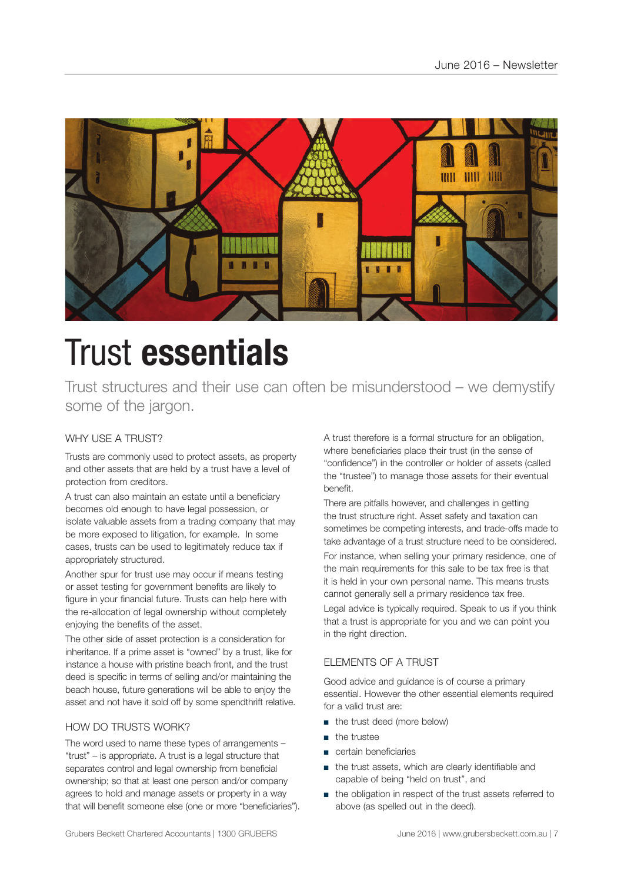

# Trust **essentials**

Trust structures and their use can often be misunderstood – we demystify some of the jargon.

#### WHY USE A TRUST?

Trusts are commonly used to protect assets, as property and other assets that are held by a trust have a level of protection from creditors.

A trust can also maintain an estate until a beneficiary becomes old enough to have legal possession, or isolate valuable assets from a trading company that may be more exposed to litigation, for example. In some cases, trusts can be used to legitimately reduce tax if appropriately structured.

Another spur for trust use may occur if means testing or asset testing for government benefits are likely to figure in your financial future. Trusts can help here with the re-allocation of legal ownership without completely enjoying the benefits of the asset.

The other side of asset protection is a consideration for inheritance. If a prime asset is "owned" by a trust, like for instance a house with pristine beach front, and the trust deed is specific in terms of selling and/or maintaining the beach house, future generations will be able to enjoy the asset and not have it sold off by some spendthrift relative.

#### HOW DO TRUSTS WORK?

The word used to name these types of arrangements – "trust" – is appropriate. A trust is a legal structure that separates control and legal ownership from beneficial ownership; so that at least one person and/or company agrees to hold and manage assets or property in a way that will benefit someone else (one or more "beneficiaries"). A trust therefore is a formal structure for an obligation, where beneficiaries place their trust (in the sense of "confidence") in the controller or holder of assets (called the "trustee") to manage those assets for their eventual benefit.

There are pitfalls however, and challenges in getting the trust structure right. Asset safety and taxation can sometimes be competing interests, and trade-offs made to take advantage of a trust structure need to be considered.

For instance, when selling your primary residence, one of the main requirements for this sale to be tax free is that it is held in your own personal name. This means trusts cannot generally sell a primary residence tax free.

Legal advice is typically required. Speak to us if you think that a trust is appropriate for you and we can point you in the right direction.

#### ELEMENTS OF A TRUST

Good advice and guidance is of course a primary essential. However the other essential elements required for a valid trust are:

- the trust deed (more below)
- the trustee
- certain beneficiaries
- the trust assets, which are clearly identifiable and capable of being "held on trust", and
- the obligation in respect of the trust assets referred to above (as spelled out in the deed).